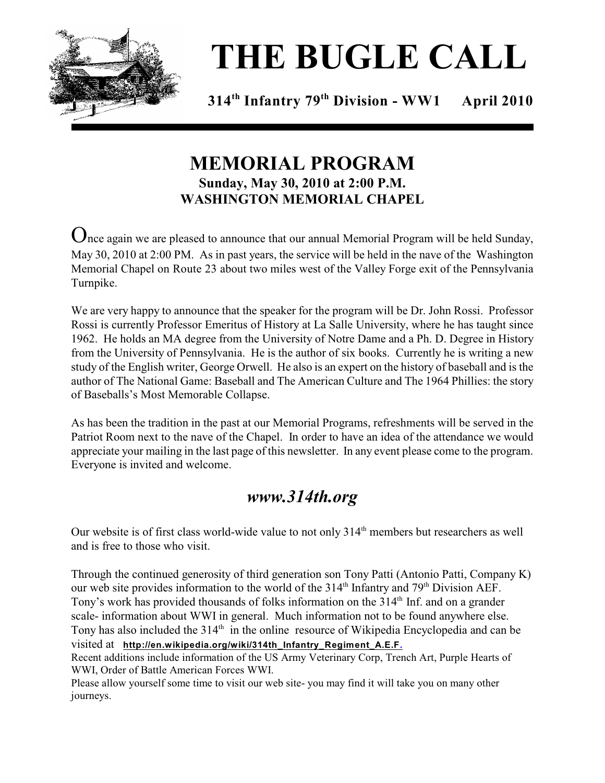

# **THE BUGLE CALL**

**314<sup>th</sup> Infantry 79<sup>th</sup> Division - WW1 April 2010** 

## **MEMORIAL PROGRAM Sunday, May 30, 2010 at 2:00 P.M. WASHINGTON MEMORIAL CHAPEL**

 $\Omega$ nce again we are pleased to announce that our annual Memorial Program will be held Sunday, May 30, 2010 at 2:00 PM. As in past years, the service will be held in the nave of the Washington Memorial Chapel on Route 23 about two miles west of the Valley Forge exit of the Pennsylvania Turnpike.

We are very happy to announce that the speaker for the program will be Dr. John Rossi. Professor Rossi is currently Professor Emeritus of History at La Salle University, where he has taught since 1962. He holds an MA degree from the University of Notre Dame and a Ph. D. Degree in History from the University of Pennsylvania. He is the author of six books. Currently he is writing a new study of the English writer, George Orwell. He also is an expert on the history of baseball and is the author of The National Game: Baseball and The American Culture and The 1964 Phillies: the story of Baseballs's Most Memorable Collapse.

As has been the tradition in the past at our Memorial Programs, refreshments will be served in the Patriot Room next to the nave of the Chapel. In order to have an idea of the attendance we would appreciate your mailing in the last page of this newsletter. In any event please come to the program. Everyone is invited and welcome.

## *www.314th.org*

Our website is of first class world-wide value to not only 314<sup>th</sup> members but researchers as well and is free to those who visit.

Through the continued generosity of third generation son Tony Patti (Antonio Patti, Company K) our web site provides information to the world of the 314<sup>th</sup> Infantry and 79<sup>th</sup> Division AEF. Tony's work has provided thousands of folks information on the 314<sup>th</sup> Inf. and on a grander scale- information about WWI in general. Much information not to be found anywhere else. Tony has also included the  $314<sup>th</sup>$  in the online resource of Wikipedia Encyclopedia and can be visited at **http://en.wikipedia.org/wiki/314th\_Infantry\_Regiment\_A.E.F.**

Recent additions include information of the US Army Veterinary Corp, Trench Art, Purple Hearts of WWI, Order of Battle American Forces WWI.

Please allow yourself some time to visit our web site- you may find it will take you on many other journeys.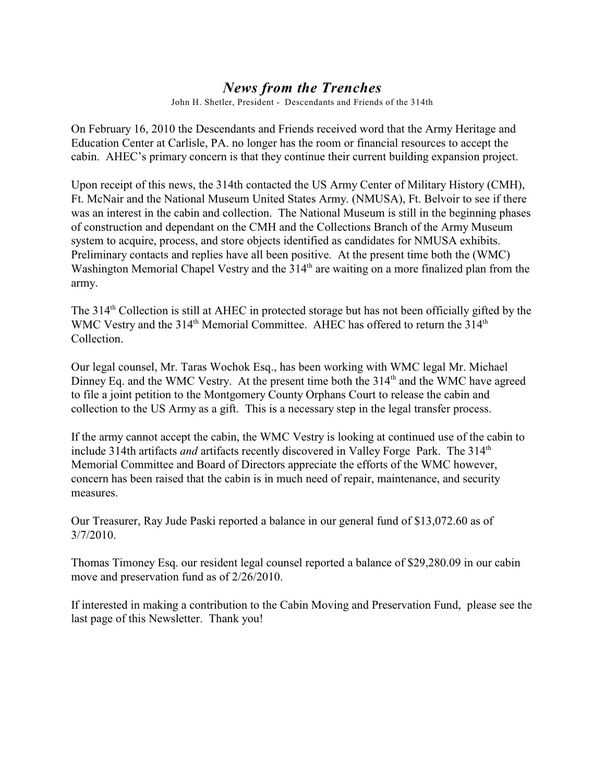#### *News from the Trenches*

John H. Shetler, President - Descendants and Friends of the 314th

On February 16, 2010 the Descendants and Friends received word that the Army Heritage and Education Center at Carlisle, PA. no longer has the room or financial resources to accept the cabin. AHEC's primary concern is that they continue their current building expansion project.

Upon receipt of this news, the 314th contacted the US Army Center of Military History (CMH), Ft. McNair and the National Museum United States Army. (NMUSA), Ft. Belvoir to see if there was an interest in the cabin and collection. The National Museum is still in the beginning phases of construction and dependant on the CMH and the Collections Branch of the Army Museum system to acquire, process, and store objects identified as candidates for NMUSA exhibits. Preliminary contacts and replies have all been positive. At the present time both the (WMC) Washington Memorial Chapel Vestry and the  $314<sup>th</sup>$  are waiting on a more finalized plan from the army.

The 314<sup>th</sup> Collection is still at AHEC in protected storage but has not been officially gifted by the WMC Vestry and the  $314<sup>th</sup>$  Memorial Committee. AHEC has offered to return the  $314<sup>th</sup>$ Collection.

Our legal counsel, Mr. Taras Wochok Esq., has been working with WMC legal Mr. Michael Dinney Eq. and the WMC Vestry. At the present time both the 314<sup>th</sup> and the WMC have agreed to file a joint petition to the Montgomery County Orphans Court to release the cabin and collection to the US Army as a gift. This is a necessary step in the legal transfer process.

If the army cannot accept the cabin, the WMC Vestry is looking at continued use of the cabin to include 314th artifacts *and* artifacts recently discovered in Valley Forge Park. The 314<sup>th</sup> Memorial Committee and Board of Directors appreciate the efforts of the WMC however, concern has been raised that the cabin is in much need of repair, maintenance, and security measures.

Our Treasurer, Ray Jude Paski reported a balance in our general fund of \$13,072.60 as of 3/7/2010.

Thomas Timoney Esq. our resident legal counsel reported a balance of \$29,280.09 in our cabin move and preservation fund as of 2/26/2010.

If interested in making a contribution to the Cabin Moving and Preservation Fund, please see the last page of this Newsletter. Thank you!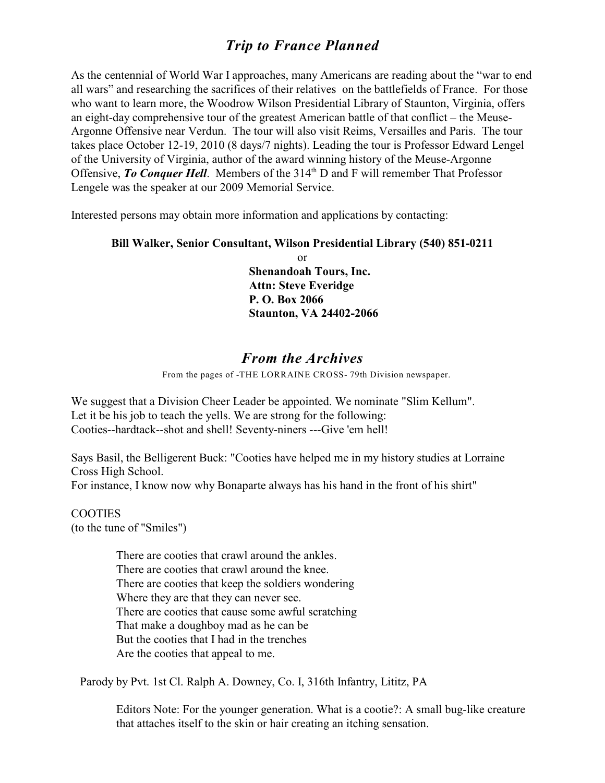#### *Trip to France Planned*

As the centennial of World War I approaches, many Americans are reading about the "war to end all wars" and researching the sacrifices of their relatives on the battlefields of France. For those who want to learn more, the Woodrow Wilson Presidential Library of Staunton, Virginia, offers an eight-day comprehensive tour of the greatest American battle of that conflict – the Meuse-Argonne Offensive near Verdun. The tour will also visit Reims, Versailles and Paris. The tour takes place October 12-19, 2010 (8 days/7 nights). Leading the tour is Professor Edward Lengel of the University of Virginia, author of the award winning history of the Meuse-Argonne Offensive, *To Conquer Hell*. Members of the 314<sup>th</sup> D and F will remember That Professor Lengele was the speaker at our 2009 Memorial Service.

Interested persons may obtain more information and applications by contacting:

#### **Bill Walker, Senior Consultant, Wilson Presidential Library (540) 851-0211**

or **Shenandoah Tours, Inc. Attn: Steve Everidge P. O. Box 2066 Staunton, VA 24402-2066**

#### *From the Archives*

From the pages of -THE LORRAINE CROSS- 79th Division newspaper.

We suggest that a Division Cheer Leader be appointed. We nominate "Slim Kellum". Let it be his job to teach the yells. We are strong for the following: Cooties--hardtack--shot and shell! Seventy-niners ---Give 'em hell!

Says Basil, the Belligerent Buck: "Cooties have helped me in my history studies at Lorraine Cross High School.

For instance, I know now why Bonaparte always has his hand in the front of his shirt"

**COOTIES** (to the tune of "Smiles")

> There are cooties that crawl around the ankles. There are cooties that crawl around the knee. There are cooties that keep the soldiers wondering Where they are that they can never see. There are cooties that cause some awful scratching That make a doughboy mad as he can be But the cooties that I had in the trenches Are the cooties that appeal to me.

Parody by Pvt. 1st Cl. Ralph A. Downey, Co. I, 316th Infantry, Lititz, PA

Editors Note: For the younger generation. What is a cootie?: A small bug-like creature that attaches itself to the skin or hair creating an itching sensation.